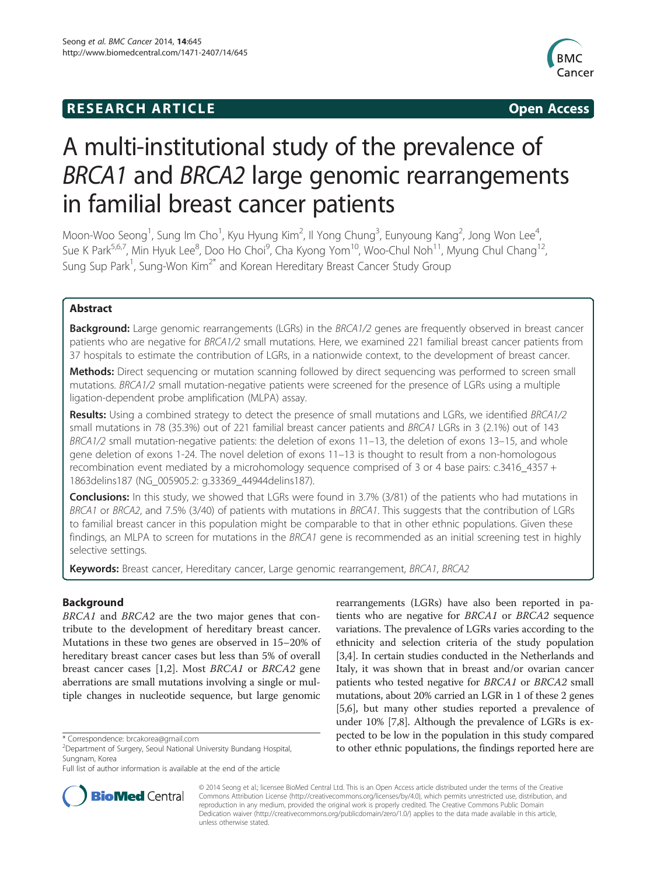## **RESEARCH ARTICLE Example 2014 CONSIDERING CONSIDERING CONSIDERING CONSIDERING CONSIDERING CONSIDERING CONSIDERING CONSIDERING CONSIDERING CONSIDERING CONSIDERING CONSIDERING CONSIDERING CONSIDERING CONSIDERING CONSIDE**



# A multi-institutional study of the prevalence of BRCA1 and BRCA2 large genomic rearrangements in familial breast cancer patients

Moon-Woo Seong<sup>1</sup>, Sung Im Cho<sup>1</sup>, Kyu Hyung Kim<sup>2</sup>, II Yong Chung<sup>3</sup>, Eunyoung Kang<sup>2</sup>, Jong Won Lee<sup>4</sup> , Sue K Park<sup>5,6,7</sup>, Min Hyuk Lee<sup>8</sup>, Doo Ho Choi<sup>9</sup>, Cha Kyong Yom<sup>10</sup>, Woo-Chul Noh<sup>11</sup>, Myung Chul Chang<sup>12</sup>, Sung Sup Park<sup>1</sup>, Sung-Won Kim<sup>2\*</sup> and Korean Hereditary Breast Cancer Study Group

## Abstract

Background: Large genomic rearrangements (LGRs) in the BRCA1/2 genes are frequently observed in breast cancer patients who are negative for BRCA1/2 small mutations. Here, we examined 221 familial breast cancer patients from 37 hospitals to estimate the contribution of LGRs, in a nationwide context, to the development of breast cancer.

Methods: Direct sequencing or mutation scanning followed by direct sequencing was performed to screen small mutations. BRCA1/2 small mutation-negative patients were screened for the presence of LGRs using a multiple ligation-dependent probe amplification (MLPA) assay.

Results: Using a combined strategy to detect the presence of small mutations and LGRs, we identified BRCA1/2 small mutations in 78 (35.3%) out of 221 familial breast cancer patients and BRCA1 LGRs in 3 (2.1%) out of 143 BRCA1/2 small mutation-negative patients: the deletion of exons 11–13, the deletion of exons 13–15, and whole gene deletion of exons 1-24. The novel deletion of exons 11–13 is thought to result from a non-homologous recombination event mediated by a microhomology sequence comprised of 3 or 4 base pairs: c.3416\_4357 + 1863delins187 (NG\_005905.2: g.33369\_44944delins187).

**Conclusions:** In this study, we showed that LGRs were found in 3.7% (3/81) of the patients who had mutations in BRCA1 or BRCA2, and 7.5% (3/40) of patients with mutations in BRCA1. This suggests that the contribution of LGRs to familial breast cancer in this population might be comparable to that in other ethnic populations. Given these findings, an MLPA to screen for mutations in the BRCA1 gene is recommended as an initial screening test in highly selective settings.

Keywords: Breast cancer, Hereditary cancer, Large genomic rearrangement, BRCA1, BRCA2

## Background

BRCA1 and BRCA2 are the two major genes that contribute to the development of hereditary breast cancer. Mutations in these two genes are observed in 15–20% of hereditary breast cancer cases but less than 5% of overall breast cancer cases [\[1,2\]](#page-4-0). Most BRCA1 or BRCA2 gene aberrations are small mutations involving a single or multiple changes in nucleotide sequence, but large genomic



**BioMed Central** 

© 2014 Seong et al.; licensee BioMed Central Ltd. This is an Open Access article distributed under the terms of the Creative Commons Attribution License [\(http://creativecommons.org/licenses/by/4.0\)](http://creativecommons.org/licenses/by/4.0), which permits unrestricted use, distribution, and reproduction in any medium, provided the original work is properly credited. The Creative Commons Public Domain Dedication waiver [\(http://creativecommons.org/publicdomain/zero/1.0/](http://creativecommons.org/publicdomain/zero/1.0/)) applies to the data made available in this article, unless otherwise stated.

<sup>\*</sup> Correspondence: [brcakorea@gmail.com](mailto:brcakorea@gmail.com) <sup>2</sup>

<sup>&</sup>lt;sup>2</sup>Department of Surgery, Seoul National University Bundang Hospital, Sungnam, Korea

Full list of author information is available at the end of the article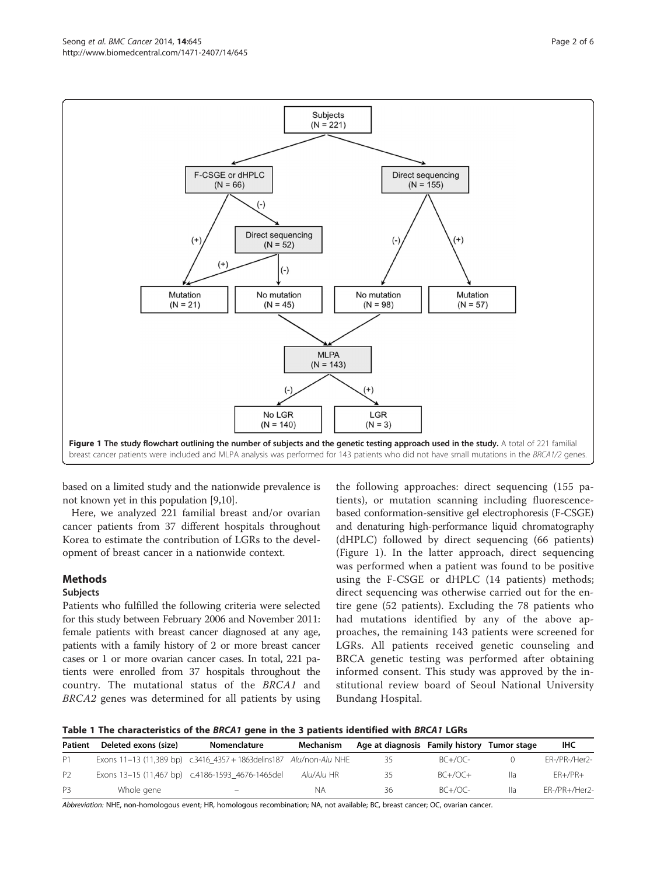<span id="page-1-0"></span>

based on a limited study and the nationwide prevalence is not known yet in this population [\[9,10\]](#page-4-0).

Here, we analyzed 221 familial breast and/or ovarian cancer patients from 37 different hospitals throughout Korea to estimate the contribution of LGRs to the development of breast cancer in a nationwide context.

## Methods

## **Subjects**

Patients who fulfilled the following criteria were selected for this study between February 2006 and November 2011: female patients with breast cancer diagnosed at any age, patients with a family history of 2 or more breast cancer cases or 1 or more ovarian cancer cases. In total, 221 patients were enrolled from 37 hospitals throughout the country. The mutational status of the BRCA1 and BRCA2 genes was determined for all patients by using

the following approaches: direct sequencing (155 patients), or mutation scanning including fluorescencebased conformation-sensitive gel electrophoresis (F-CSGE) and denaturing high-performance liquid chromatography (dHPLC) followed by direct sequencing (66 patients) (Figure 1). In the latter approach, direct sequencing was performed when a patient was found to be positive using the F-CSGE or dHPLC (14 patients) methods; direct sequencing was otherwise carried out for the entire gene (52 patients). Excluding the 78 patients who had mutations identified by any of the above approaches, the remaining 143 patients were screened for LGRs. All patients received genetic counseling and BRCA genetic testing was performed after obtaining informed consent. This study was approved by the institutional review board of Seoul National University Bundang Hospital.

Table 1 The characteristics of the BRCA1 gene in the 3 patients identified with BRCA1 LGRs

| Patient        | Deleted exons (size) | Nomenclature                                                          | Mechanism  | Age at diagnosis Family history Tumor stage |           |     | IHC           |
|----------------|----------------------|-----------------------------------------------------------------------|------------|---------------------------------------------|-----------|-----|---------------|
| P <sub>1</sub> |                      | Exons 11-13 (11,389 bp) c.3416 4357 + 1863 delins 187 Alu/non-Alu NHE |            | 35                                          | $BC+/OC-$ |     | FR-/PR-/Her2- |
| P <sub>2</sub> |                      | Exons 13-15 (11,467 bp) c.4186-1593 4676-1465del                      | Alu/Alu HR | 35                                          | $BC+/OC+$ | lla | $FR+$ / $PR+$ |
| P <sub>3</sub> | Whole gene           | $\qquad \qquad -$                                                     | NА         | 36                                          | $BC+/OC-$ | lla | FR-/PR+/Her2- |

Abbreviation: NHE, non-homologous event; HR, homologous recombination; NA, not available; BC, breast cancer; OC, ovarian cancer.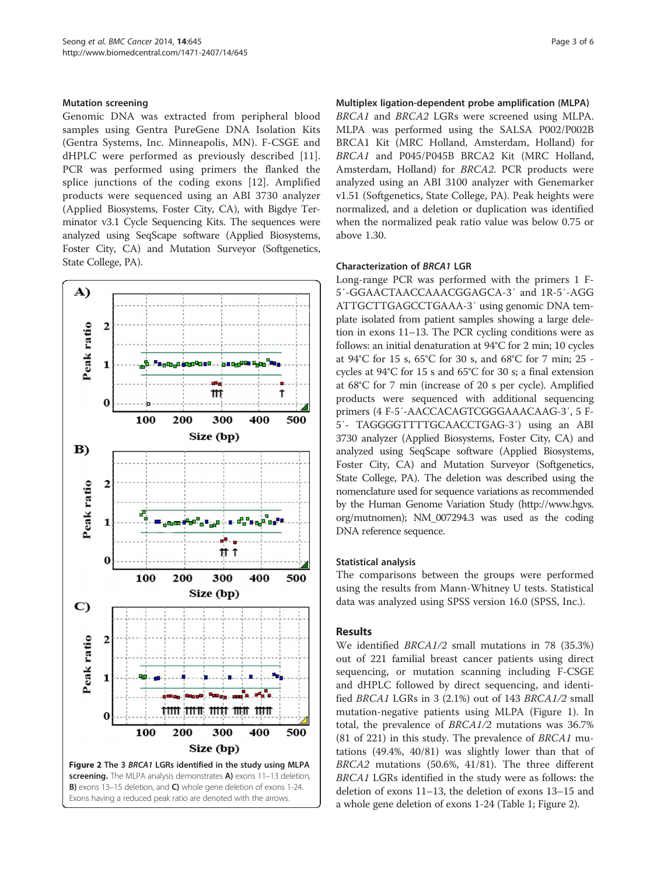## Mutation screening

Genomic DNA was extracted from peripheral blood samples using Gentra PureGene DNA Isolation Kits (Gentra Systems, Inc. Minneapolis, MN). F-CSGE and dHPLC were performed as previously described [\[11](#page-5-0)]. PCR was performed using primers the flanked the splice junctions of the coding exons [\[12](#page-5-0)]. Amplified products were sequenced using an ABI 3730 analyzer (Applied Biosystems, Foster City, CA), with Bigdye Terminator v3.1 Cycle Sequencing Kits. The sequences were analyzed using SeqScape software (Applied Biosystems, Foster City, CA) and Mutation Surveyor (Softgenetics, State College, PA).



Multiplex ligation-dependent probe amplification (MLPA) BRCA1 and BRCA2 LGRs were screened using MLPA.

MLPA was performed using the SALSA P002/P002B BRCA1 Kit (MRC Holland, Amsterdam, Holland) for BRCA1 and P045/P045B BRCA2 Kit (MRC Holland, Amsterdam, Holland) for BRCA2. PCR products were analyzed using an ABI 3100 analyzer with Genemarker v1.51 (Softgenetics, State College, PA). Peak heights were normalized, and a deletion or duplication was identified when the normalized peak ratio value was below 0.75 or above 1.30.

## Characterization of BRCA1 LGR

Long-range PCR was performed with the primers 1 F-5′-GGAACTAACCAAACGGAGCA-3′ and 1R-5′-AGG ATTGCTTGAGCCTGAAA-3′ using genomic DNA template isolated from patient samples showing a large deletion in exons 11–13. The PCR cycling conditions were as follows: an initial denaturation at 94°C for 2 min; 10 cycles at 94°C for 15 s, 65°C for 30 s, and 68°C for 7 min; 25 cycles at 94°C for 15 s and 65°C for 30 s; a final extension at 68°C for 7 min (increase of 20 s per cycle). Amplified products were sequenced with additional sequencing primers (4 F-5′-AACCACAGTCGGGAAACAAG-3′, 5 F-5′- TAGGGGTTTTGCAACCTGAG-3′) using an ABI 3730 analyzer (Applied Biosystems, Foster City, CA) and analyzed using SeqScape software (Applied Biosystems, Foster City, CA) and Mutation Surveyor (Softgenetics, State College, PA). The deletion was described using the nomenclature used for sequence variations as recommended by the Human Genome Variation Study [\(http://www.hgvs.](http://www.hgvs.org/mutnomen) [org/mutnomen\)](http://www.hgvs.org/mutnomen); NM\_007294.3 was used as the coding DNA reference sequence.

## Statistical analysis

The comparisons between the groups were performed using the results from Mann-Whitney U tests. Statistical data was analyzed using SPSS version 16.0 (SPSS, Inc.).

## Results

We identified BRCA1/2 small mutations in 78 (35.3%) out of 221 familial breast cancer patients using direct sequencing, or mutation scanning including F-CSGE and dHPLC followed by direct sequencing, and identified BRCA1 LGRs in 3 (2.1%) out of 143 BRCA1/2 small mutation-negative patients using MLPA (Figure [1](#page-1-0)). In total, the prevalence of BRCA1/2 mutations was 36.7% (81 of 221) in this study. The prevalence of BRCA1 mutations (49.4%, 40/81) was slightly lower than that of BRCA2 mutations (50.6%, 41/81). The three different BRCA1 LGRs identified in the study were as follows: the deletion of exons 11–13, the deletion of exons 13–15 and a whole gene deletion of exons 1-24 (Table [1](#page-1-0); Figure 2).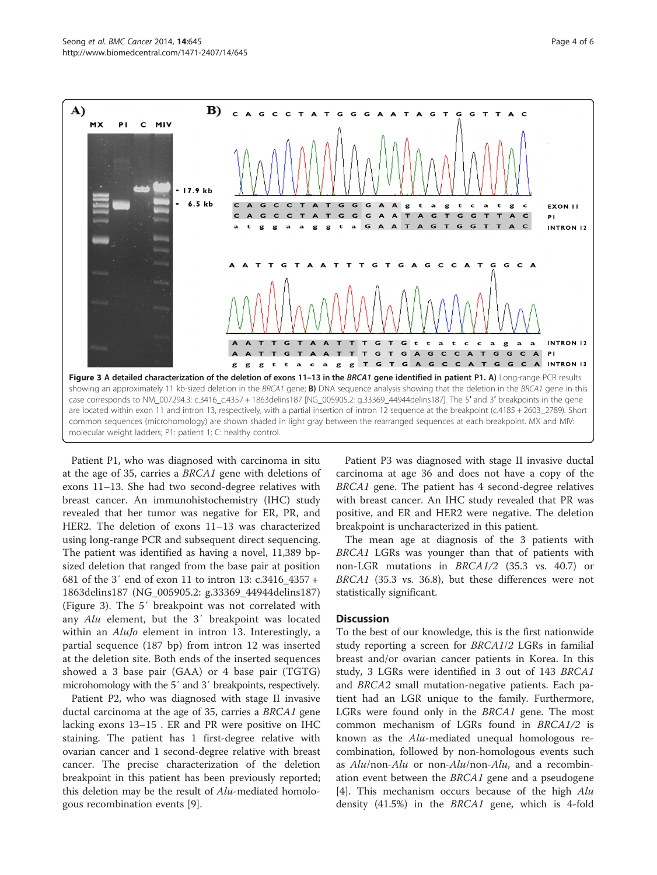Seong *et al. BMC Cancer* 2014, **14:**645 *Page 4 of 6**Page 4 of 6**Page 4 of 6**Page 4 of 6**Page 4 of 6**Page 4 of 6**Page 4 of 6**Page 4 of 6**Page 4 of 6**Page 4 of 6**Page 4 of 6**Page 4 of 6**Page 4 of 6* http://www.biomedcentral.com/1471-2407/14/645



Patient P1, who was diagnosed with carcinoma in situ at the age of 35, carries a BRCA1 gene with deletions of exons 11–13. She had two second-degree relatives with breast cancer. An immunohistochemistry (IHC) study revealed that her tumor was negative for ER, PR, and HER2. The deletion of exons 11–13 was characterized using long-range PCR and subsequent direct sequencing. The patient was identified as having a novel, 11,389 bpsized deletion that ranged from the base pair at position 681 of the 3′ end of exon 11 to intron 13: c.3416\_4357 + 1863delins187 (NG\_005905.2: g.33369\_44944delins187) (Figure 3). The 5′ breakpoint was not correlated with any Alu element, but the 3′ breakpoint was located within an *AluJo* element in intron 13. Interestingly, a partial sequence (187 bp) from intron 12 was inserted at the deletion site. Both ends of the inserted sequences showed a 3 base pair (GAA) or 4 base pair (TGTG) microhomology with the 5′ and 3′ breakpoints, respectively.

Patient P2, who was diagnosed with stage II invasive ductal carcinoma at the age of 35, carries a BRCA1 gene lacking exons 13–15 . ER and PR were positive on IHC staining. The patient has 1 first-degree relative with ovarian cancer and 1 second-degree relative with breast cancer. The precise characterization of the deletion breakpoint in this patient has been previously reported; this deletion may be the result of  $Alu$ -mediated homologous recombination events [\[9\]](#page-4-0).

Patient P3 was diagnosed with stage II invasive ductal carcinoma at age 36 and does not have a copy of the BRCA1 gene. The patient has 4 second-degree relatives with breast cancer. An IHC study revealed that PR was positive, and ER and HER2 were negative. The deletion breakpoint is uncharacterized in this patient.

The mean age at diagnosis of the 3 patients with BRCA1 LGRs was younger than that of patients with non-LGR mutations in BRCA1/2 (35.3 vs. 40.7) or BRCA1 (35.3 vs. 36.8), but these differences were not statistically significant.

## **Discussion**

To the best of our knowledge, this is the first nationwide study reporting a screen for BRCA1/2 LGRs in familial breast and/or ovarian cancer patients in Korea. In this study, 3 LGRs were identified in 3 out of 143 BRCA1 and BRCA2 small mutation-negative patients. Each patient had an LGR unique to the family. Furthermore, LGRs were found only in the BRCA1 gene. The most common mechanism of LGRs found in BRCA1/2 is known as the Alu-mediated unequal homologous recombination, followed by non-homologous events such as *Alu*/non-*Alu* or non-*Alu*/non-*Alu*, and a recombination event between the *BRCA1* gene and a pseudogene [[4\]](#page-4-0). This mechanism occurs because of the high Alu density (41.5%) in the BRCA1 gene, which is 4-fold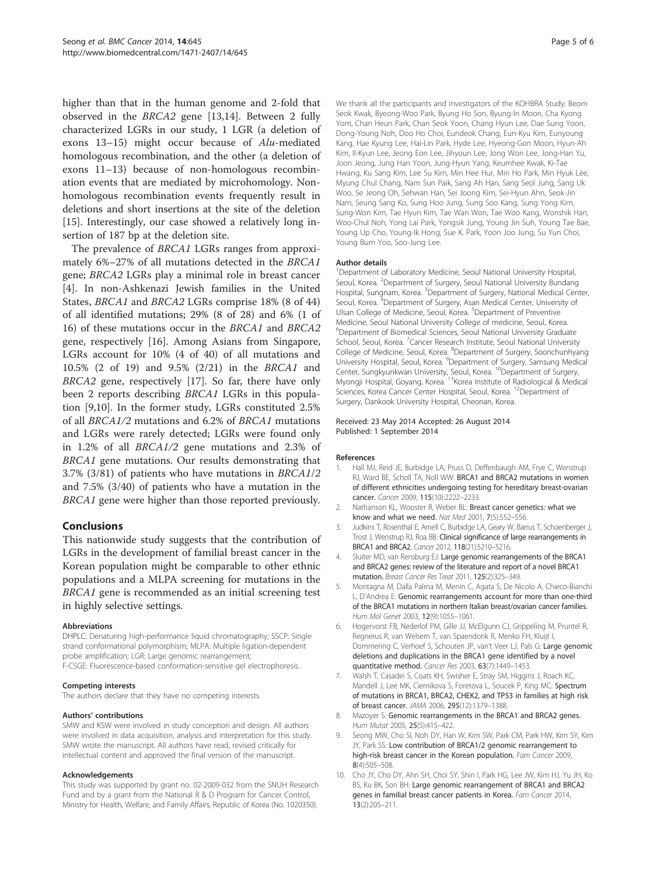<span id="page-4-0"></span>higher than that in the human genome and 2-fold that observed in the BRCA2 gene [\[13,14](#page-5-0)]. Between 2 fully characterized LGRs in our study, 1 LGR (a deletion of exons 13–15) might occur because of Alu-mediated homologous recombination, and the other (a deletion of exons 11–13) because of non-homologous recombination events that are mediated by microhomology. Nonhomologous recombination events frequently result in deletions and short insertions at the site of the deletion [[15\]](#page-5-0). Interestingly, our case showed a relatively long insertion of 187 bp at the deletion site.

The prevalence of BRCA1 LGRs ranges from approximately 6%–27% of all mutations detected in the BRCA1 gene; BRCA2 LGRs play a minimal role in breast cancer [4]. In non-Ashkenazi Jewish families in the United States, BRCA1 and BRCA2 LGRs comprise 18% (8 of 44) of all identified mutations; 29% (8 of 28) and 6% (1 of 16) of these mutations occur in the BRCA1 and BRCA2 gene, respectively [\[16](#page-5-0)]. Among Asians from Singapore, LGRs account for 10% (4 of 40) of all mutations and 10.5% (2 of 19) and 9.5% (2/21) in the BRCA1 and BRCA2 gene, respectively [[17](#page-5-0)]. So far, there have only been 2 reports describing BRCA1 LGRs in this population [9,10]. In the former study, LGRs constituted 2.5% of all BRCA1/2 mutations and 6.2% of BRCA1 mutations and LGRs were rarely detected; LGRs were found only in 1.2% of all BRCA1/2 gene mutations and 2.3% of BRCA1 gene mutations. Our results demonstrating that 3.7% (3/81) of patients who have mutations in BRCA1/2 and 7.5% (3/40) of patients who have a mutation in the BRCA1 gene were higher than those reported previously.

## Conclusions

This nationwide study suggests that the contribution of LGRs in the development of familial breast cancer in the Korean population might be comparable to other ethnic populations and a MLPA screening for mutations in the BRCA1 gene is recommended as an initial screening test in highly selective settings.

## Abbreviations

DHPLC: Denaturing high-performance liquid chromatography; SSCP: Single strand conformational polymorphism; MLPA: Multiple ligation-dependent probe amplification; LGR: Large genomic rearrangement; F-CSGE: Fluorescence-based conformation-sensitive gel electrophoresis.

## Competing interests

The authors declare that they have no competing interests.

#### Authors' contributions

SMW and KSW were involved in study conception and design. All authors were involved in data acquisition, analysis and interpretation for this study. SMW wrote the manuscript. All authors have read, revised critically for intellectual content and approved the final version of the manuscript.

## Acknowledgements

This study was supported by grant no. 02-2009-032 from the SNUH Research Fund and by a grant from the National R & D Program for Cancer Control, Ministry for Health, Welfare, and Family Affairs, Republic of Korea (No. 1020350).

We thank all the participants and investigators of the KOHBRA Study: Beom Seok Kwak, Byeong-Woo Park, Byung Ho Son, Byung-In Moon, Cha Kyong Yom, Chan Heun Park, Chan Seok Yoon, Chang Hyun Lee, Dae Sung Yoon, Dong-Young Noh, Doo Ho Choi, Eundeok Chang, Eun-Kyu Kim, Eunyoung Kang, Hae Kyung Lee, Hai-Lin Park, Hyde Lee, Hyeong-Gon Moon, Hyun-Ah Kim, Il-Kyun Lee, Jeong Eon Lee, Jihyoun Lee, Jong Won Lee, Jong-Han Yu, Joon Jeong, Jung Han Yoon, Jung-Hyun Yang, Keumhee Kwak, Ki-Tae Hwang, Ku Sang Kim, Lee Su Kim, Min Hee Hur, Min Ho Park, Min Hyuk Lee, Myung Chul Chang, Nam Sun Paik, Sang Ah Han, Sang Seol Jung, Sang Uk Woo, Se Jeong Oh, Sehwan Han, Sei Joong Kim, Sei-Hyun Ahn, Seok-Jin Nam, Seung Sang Ko, Sung Hoo Jung, Sung Soo Kang, Sung Yong Kim, Sung-Won Kim, Tae Hyun Kim, Tae Wan Won, Tae Woo Kang, Wonshik Han, Woo-Chul Noh, Yong Lai Park, Yongsik Jung, Young Jin Suh, Young Tae Bae, Young Up Cho, Young-Ik Hong, Sue K. Park, Yoon Joo Jung, Su Yun Choi, Young Bum Yoo, Soo-Jung Lee.

#### Author details

<sup>1</sup>Department of Laboratory Medicine, Seoul National University Hospital, Seoul, Korea. <sup>2</sup> Department of Surgery, Seoul National University Bundang Hospital, Sungnam, Korea. <sup>3</sup>Department of Surgery, National Medical Center Seoul, Korea. <sup>4</sup>Department of Surgery, Asan Medical Center, University of Ulsan College of Medicine, Seoul, Korea. <sup>5</sup>Department of Preventive Medicine, Seoul National University College of medicine, Seoul, Korea. 6 Department of Biomedical Sciences, Seoul National University Graduate School, Seoul, Korea. <sup>7</sup> Cancer Research Institute, Seoul National University College of Medicine, Seoul, Korea. <sup>8</sup>Department of Surgery, Soonchunhyang University Hospital, Seoul, Korea. <sup>9</sup>Department of Surgery, Samsung Medical Center, Sungkyunkwan University, Seoul, Korea. 10Department of Surgery, Myongji Hospital, Goyang, Korea. <sup>11</sup>Korea Institute of Radiological & Medical Sciences, Korea Cancer Center Hospital, Seoul, Korea. 12Department of Surgery, Dankook University Hospital, Cheonan, Korea.

#### Received: 23 May 2014 Accepted: 26 August 2014 Published: 1 September 2014

#### References

- 1. Hall MJ, Reid JE, Burbidge LA, Pruss D, Deffenbaugh AM, Frye C, Wenstrup RJ, Ward BE, Scholl TA, Noll WW: BRCA1 and BRCA2 mutations in women of different ethnicities undergoing testing for hereditary breast-ovarian cancer. Cancer 2009, 115(10):2222–2233.
- 2. Nathanson KL, Wooster R, Weber BL: Breast cancer genetics: what we know and what we need. Nat Med 2001, 7(5):552–556.
- 3. Judkins T, Rosenthal E, Arnell C, Burbidge LA, Geary W, Barrus T, Schoenberger J, Trost J, Wenstrup RJ, Roa BB: Clinical significance of large rearrangements in BRCA1 and BRCA2. Cancer 2012, 118(21):5210–5216.
- 4. Sluiter MD, van Rensburg EJ: Large genomic rearrangements of the BRCA1 and BRCA2 genes: review of the literature and report of a novel BRCA1 mutation. Breast Cancer Res Treat 2011, 125(2):325–349.
- 5. Montagna M, Dalla Palma M, Menin C, Agata S, De Nicolo A, Chieco-Bianchi L, D'Andrea E: Genomic rearrangements account for more than one-third of the BRCA1 mutations in northern Italian breast/ovarian cancer families. Hum Mol Genet 2003, 12(9):1055–1061.
- 6. Hogervorst FB, Nederlof PM, Gille JJ, McElgunn CJ, Grippeling M, Pruntel R, Regnerus R, van Welsem T, van Spaendonk R, Menko FH, Kluijt I, Dommering C, Verhoef S, Schouten JP, van't Veer LJ, Pals G: Large genomic deletions and duplications in the BRCA1 gene identified by a novel quantitative method. Cancer Res 2003, 63(7):1449–1453.
- 7. Walsh T, Casadei S, Coats KH, Swisher E, Stray SM, Higgins J, Roach KC, Mandell J, Lee MK, Ciernikova S, Foretova L, Soucek P, King MC: Spectrum of mutations in BRCA1, BRCA2, CHEK2, and TP53 in families at high risk of breast cancer. JAMA 2006, 295(12):1379–1388.
- 8. Mazoyer S: Genomic rearrangements in the BRCA1 and BRCA2 genes. Hum Mutat 2005, 25(5):415–422.
- 9. Seong MW, Cho SI, Noh DY, Han W, Kim SW, Park CM, Park HW, Kim SY, Kim JY, Park SS: Low contribution of BRCA1/2 genomic rearrangement to high-risk breast cancer in the Korean population. Fam Cancer 2009, 8(4):505–508.
- 10. Cho JY, Cho DY, Ahn SH, Choi SY, Shin I, Park HG, Lee JW, Kim HJ, Yu JH, Ko BS, Ku BK, Son BH: Large genomic rearrangement of BRCA1 and BRCA2 genes in familial breast cancer patients in Korea. Fam Cancer 2014, 13(2):205–211.